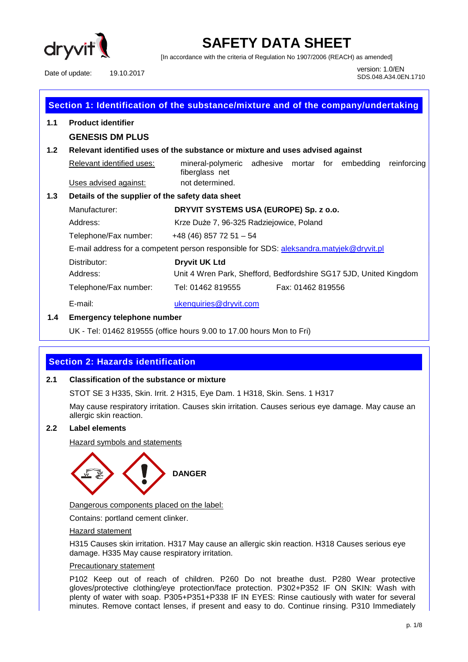

[In accordance with the criteria of Regulation No 1907/2006 (REACH) as amended]

Date of update: 19.10.2017 1.0/EN

SDS.048.A34.0EN.1710

| Section 1: Identification of the substance/mixture and of the company/undertaking |                                                                                         |                                                                                  |  |  |
|-----------------------------------------------------------------------------------|-----------------------------------------------------------------------------------------|----------------------------------------------------------------------------------|--|--|
| 1.1                                                                               | <b>Product identifier</b>                                                               |                                                                                  |  |  |
|                                                                                   | <b>GENESIS DM PLUS</b>                                                                  |                                                                                  |  |  |
| 1.2 <sub>2</sub>                                                                  |                                                                                         | Relevant identified uses of the substance or mixture and uses advised against    |  |  |
|                                                                                   | Relevant identified uses:                                                               | mineral-polymeric adhesive mortar for embedding<br>reinforcing<br>fiberglass net |  |  |
|                                                                                   | Uses advised against:                                                                   | not determined.                                                                  |  |  |
| 1.3                                                                               | Details of the supplier of the safety data sheet                                        |                                                                                  |  |  |
| Manufacturer:                                                                     |                                                                                         | DRYVIT SYSTEMS USA (EUROPE) Sp. z o.o.                                           |  |  |
|                                                                                   | Address:                                                                                | Krze Duże 7, 96-325 Radziejowice, Poland                                         |  |  |
|                                                                                   | Telephone/Fax number:                                                                   | $+48(46)$ 857 72 51 - 54                                                         |  |  |
|                                                                                   | E-mail address for a competent person responsible for SDS: aleksandra.matyjek@dryvit.pl |                                                                                  |  |  |
|                                                                                   | Distributor:                                                                            | <b>Dryvit UK Ltd</b>                                                             |  |  |
| Address:                                                                          |                                                                                         | Unit 4 Wren Park, Shefford, Bedfordshire SG17 5JD, United Kingdom                |  |  |
|                                                                                   | Telephone/Fax number:                                                                   | Tel: 01462 819555<br>Fax: 01462 819556                                           |  |  |
|                                                                                   | E-mail:                                                                                 | ukenquiries@dryvit.com                                                           |  |  |
| 1.4                                                                               | <b>Emergency telephone number</b>                                                       |                                                                                  |  |  |

UK - Tel: 01462 819555 (office hours 9.00 to 17.00 hours Mon to Fri)

## **Section 2: Hazards identification**

#### **2.1 Classification of the substance or mixture**

STOT SE 3 H335, Skin. Irrit. 2 H315, Eye Dam. 1 H318, Skin. Sens. 1 H317

May cause respiratory irritation. Causes skin irritation. Causes serious eye damage. May cause an allergic skin reaction.

#### **2.2 Label elements**

Hazard symbols and statements



Dangerous components placed on the label:

Contains: portland cement clinker.

#### Hazard statement

H315 Causes skin irritation. H317 May cause an allergic skin reaction. H318 Causes serious eye damage. H335 May cause respiratory irritation.

#### Precautionary statement

P102 Keep out of reach of children. P260 Do not breathe dust. P280 Wear protective gloves/protective clothing/eye protection/face protection. P302+P352 IF ON SKIN: Wash with plenty of water with soap. P305+P351+P338 IF IN EYES: Rinse cautiously with water for several minutes. Remove contact lenses, if present and easy to do. Continue rinsing. P310 Immediately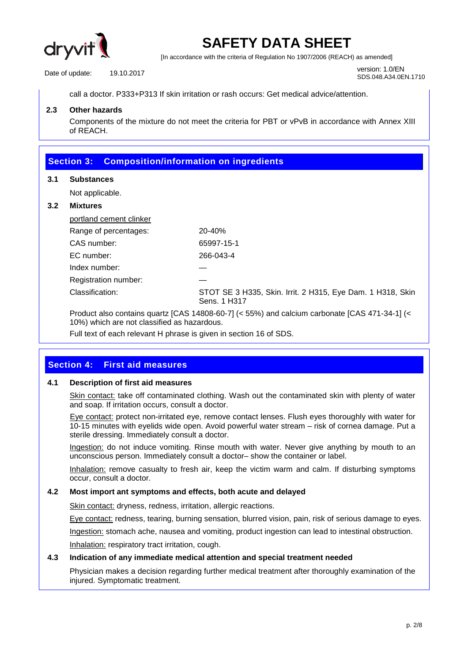

[In accordance with the criteria of Regulation No 1907/2006 (REACH) as amended]

Date of update: 19.10.2017 1.0/EN

SDS.048.A34.0EN.1710

call a doctor. P333+P313 If skin irritation or rash occurs: Get medical advice/attention.

#### **2.3 Other hazards**

Components of the mixture do not meet the criteria for PBT or vPvB in accordance with Annex XIII of REACH.

## **Section 3: Composition/information on ingredients 3.1 Substances**  Not applicable. **3.2 Mixtures**  portland cement clinker Range of percentages: 20-40% CAS number: 65997-15-1 EC number: 266-043-4 Index number: — Registration number: Classification: STOT SE 3 H335, Skin. Irrit. 2 H315, Eye Dam. 1 H318, Skin Sens. 1 H317 Product also contains quartz [CAS 14808-60-7] (< 55%) and calcium carbonate [CAS 471-34-1] (< 10%) which are not classified as hazardous.

Full text of each relevant H phrase is given in section 16 of SDS.

## **Section 4: First aid measures**

### **4.1 Description of first aid measures**

Skin contact: take off contaminated clothing. Wash out the contaminated skin with plenty of water and soap. If irritation occurs, consult a doctor.

Eye contact: protect non-irritated eye, remove contact lenses. Flush eyes thoroughly with water for 10-15 minutes with eyelids wide open. Avoid powerful water stream – risk of cornea damage. Put a sterile dressing. Immediately consult a doctor.

Ingestion: do not induce vomiting. Rinse mouth with water. Never give anything by mouth to an unconscious person. Immediately consult a doctor– show the container or label.

Inhalation: remove casualty to fresh air, keep the victim warm and calm. If disturbing symptoms occur, consult a doctor.

#### **4.2 Most import ant symptoms and effects, both acute and delayed**

Skin contact: dryness, redness, irritation, allergic reactions.

Eye contact: redness, tearing, burning sensation, blurred vision, pain, risk of serious damage to eyes.

Ingestion: stomach ache, nausea and vomiting, product ingestion can lead to intestinal obstruction.

Inhalation: respiratory tract irritation, cough.

#### **4.3 Indication of any immediate medical attention and special treatment needed**

Physician makes a decision regarding further medical treatment after thoroughly examination of the injured. Symptomatic treatment.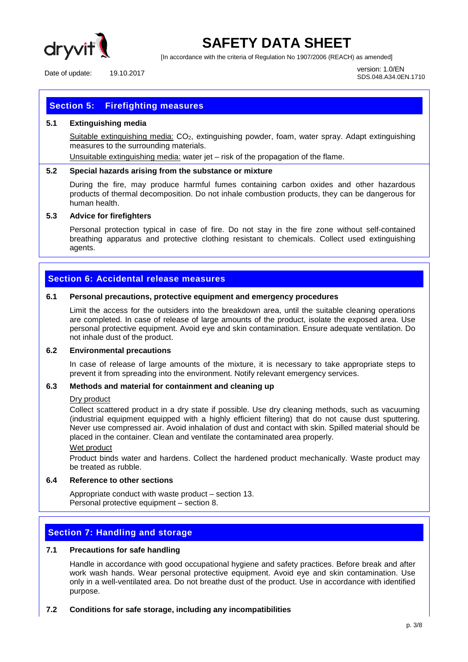

[In accordance with the criteria of Regulation No 1907/2006 (REACH) as amended]

Date of update: 19.10.2017 1.0/EN

SDS.048.A34.0EN.1710

## **Section 5: Firefighting measures**

#### **5.1 Extinguishing media**

Suitable extinguishing media: CO<sub>2</sub>, extinguishing powder, foam, water spray. Adapt extinguishing measures to the surrounding materials.

Unsuitable extinguishing media: water jet – risk of the propagation of the flame.

#### **5.2 Special hazards arising from the substance or mixture**

During the fire, may produce harmful fumes containing carbon oxides and other hazardous products of thermal decomposition. Do not inhale combustion products, they can be dangerous for human health.

#### **5.3 Advice for firefighters**

Personal protection typical in case of fire. Do not stay in the fire zone without self-contained breathing apparatus and protective clothing resistant to chemicals. Collect used extinguishing agents.

### **Section 6: Accidental release measures**

#### **6.1 Personal precautions, protective equipment and emergency procedures**

Limit the access for the outsiders into the breakdown area, until the suitable cleaning operations are completed. In case of release of large amounts of the product, isolate the exposed area. Use personal protective equipment. Avoid eye and skin contamination. Ensure adequate ventilation. Do not inhale dust of the product.

#### **6.2 Environmental precautions**

In case of release of large amounts of the mixture, it is necessary to take appropriate steps to prevent it from spreading into the environment. Notify relevant emergency services.

#### **6.3 Methods and material for containment and cleaning up**

#### Dry product

Collect scattered product in a dry state if possible. Use dry cleaning methods, such as vacuuming (industrial equipment equipped with a highly efficient filtering) that do not cause dust sputtering. Never use compressed air. Avoid inhalation of dust and contact with skin. Spilled material should be placed in the container. Clean and ventilate the contaminated area properly.

#### Wet product

Product binds water and hardens. Collect the hardened product mechanically. Waste product may be treated as rubble.

#### **6.4 Reference to other sections**

Appropriate conduct with waste product – section 13. Personal protective equipment – section 8.

#### **Section 7: Handling and storage**

#### **7.1 Precautions for safe handling**

Handle in accordance with good occupational hygiene and safety practices. Before break and after work wash hands. Wear personal protective equipment. Avoid eye and skin contamination. Use only in a well-ventilated area. Do not breathe dust of the product. Use in accordance with identified purpose.

#### **7.2 Conditions for safe storage, including any incompatibilities**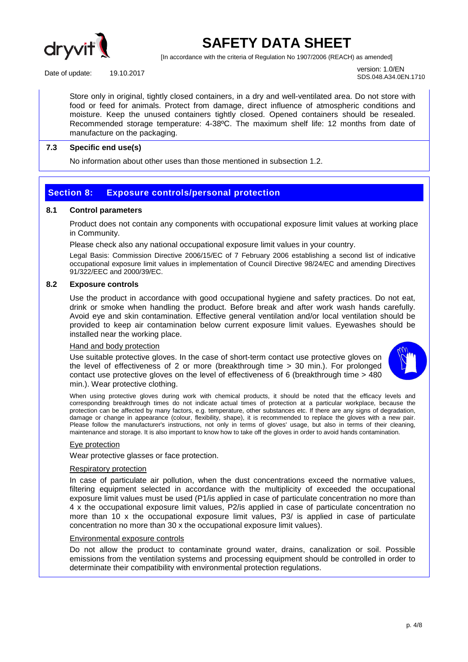

[In accordance with the criteria of Regulation No 1907/2006 (REACH) as amended]

Date of update: 19.10.2017 1.0/EN

SDS.048.A34.0EN.1710

Store only in original, tightly closed containers, in a dry and well-ventilated area. Do not store with food or feed for animals. Protect from damage, direct influence of atmospheric conditions and moisture. Keep the unused containers tightly closed. Opened containers should be resealed. Recommended storage temperature: 4-38ºC. The maximum shelf life: 12 months from date of manufacture on the packaging.

#### **7.3 Specific end use(s)**

No information about other uses than those mentioned in subsection 1.2.

### **Section 8: Exposure controls/personal protection**

#### **8.1 Control parameters**

Product does not contain any components with occupational exposure limit values at working place in Community.

Please check also any national occupational exposure limit values in your country.

Legal Basis: Commission Directive 2006/15/EC of 7 February 2006 establishing a second list of indicative occupational exposure limit values in implementation of Council Directive 98/24/EC and amending Directives 91/322/EEC and 2000/39/EC.

#### **8.2 Exposure controls**

Use the product in accordance with good occupational hygiene and safety practices. Do not eat, drink or smoke when handling the product. Before break and after work wash hands carefully. Avoid eye and skin contamination. Effective general ventilation and/or local ventilation should be provided to keep air contamination below current exposure limit values. Eyewashes should be installed near the working place.

#### Hand and body protection

Use suitable protective gloves. In the case of short-term contact use protective gloves on the level of effectiveness of 2 or more (breakthrough time > 30 min.). For prolonged contact use protective gloves on the level of effectiveness of 6 (breakthrough time  $>$  480 min.). Wear protective clothing.



When using protective gloves during work with chemical products, it should be noted that the efficacy levels and corresponding breakthrough times do not indicate actual times of protection at a particular workplace, because the protection can be affected by many factors, e.g. temperature, other substances etc. If there are any signs of degradation, damage or change in appearance (colour, flexibility, shape), it is recommended to replace the gloves with a new pair. Please follow the manufacturer's instructions, not only in terms of gloves' usage, but also in terms of their cleaning, maintenance and storage. It is also important to know how to take off the gloves in order to avoid hands contamination.

#### Eye protection

Wear protective glasses or face protection.

#### Respiratory protection

In case of particulate air pollution, when the dust concentrations exceed the normative values, filtering equipment selected in accordance with the multiplicity of exceeded the occupational exposure limit values must be used (P1/is applied in case of particulate concentration no more than 4 x the occupational exposure limit values, P2/is applied in case of particulate concentration no more than 10 x the occupational exposure limit values, P3/ is applied in case of particulate concentration no more than 30 x the occupational exposure limit values).

#### Environmental exposure controls

Do not allow the product to contaminate ground water, drains, canalization or soil. Possible emissions from the ventilation systems and processing equipment should be controlled in order to determinate their compatibility with environmental protection regulations.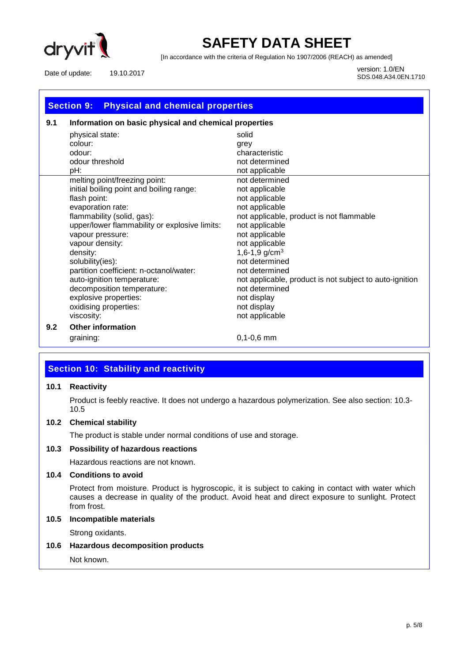

[In accordance with the criteria of Regulation No 1907/2006 (REACH) as amended]

Date of update: 19.10.2017 1.0/EN

SDS.048.A34.0EN.1710

| <b>Physical and chemical properties</b><br><b>Section 9:</b> |                                                       |                                                         |  |  |
|--------------------------------------------------------------|-------------------------------------------------------|---------------------------------------------------------|--|--|
| 9.1                                                          | Information on basic physical and chemical properties |                                                         |  |  |
|                                                              | physical state:                                       | solid                                                   |  |  |
|                                                              | colour:                                               | grey                                                    |  |  |
|                                                              | odour:                                                | characteristic                                          |  |  |
|                                                              | odour threshold                                       | not determined                                          |  |  |
|                                                              | pH:                                                   | not applicable                                          |  |  |
|                                                              | melting point/freezing point:                         | not determined                                          |  |  |
|                                                              | initial boiling point and boiling range:              | not applicable                                          |  |  |
|                                                              | flash point:                                          | not applicable                                          |  |  |
|                                                              | evaporation rate:                                     | not applicable                                          |  |  |
|                                                              | flammability (solid, gas):                            | not applicable, product is not flammable                |  |  |
|                                                              | upper/lower flammability or explosive limits:         | not applicable                                          |  |  |
|                                                              | vapour pressure:                                      | not applicable                                          |  |  |
|                                                              | vapour density:                                       | not applicable                                          |  |  |
|                                                              | density:                                              | 1,6-1,9 $g/cm3$                                         |  |  |
|                                                              | solubility(ies):                                      | not determined                                          |  |  |
|                                                              | partition coefficient: n-octanol/water:               | not determined                                          |  |  |
|                                                              | auto-ignition temperature:                            | not applicable, product is not subject to auto-ignition |  |  |
|                                                              | decomposition temperature:                            | not determined                                          |  |  |
|                                                              | explosive properties:                                 | not display                                             |  |  |
|                                                              | oxidising properties:                                 | not display                                             |  |  |
|                                                              | viscosity:                                            | not applicable                                          |  |  |
| 9.2                                                          | <b>Other information</b>                              |                                                         |  |  |
|                                                              | graining:                                             | $0,1-0,6$ mm                                            |  |  |

## **Section 10: Stability and reactivity**

#### **10.1 Reactivity**

Product is feebly reactive. It does not undergo a hazardous polymerization. See also section: 10.3- 10.5

### **10.2 Chemical stability**

The product is stable under normal conditions of use and storage.

#### **10.3 Possibility of hazardous reactions**

Hazardous reactions are not known.

#### **10.4 Conditions to avoid**

Protect from moisture. Product is hygroscopic, it is subject to caking in contact with water which causes a decrease in quality of the product. Avoid heat and direct exposure to sunlight. Protect from frost.

#### **10.5 Incompatible materials**

Strong oxidants.

#### **10.6 Hazardous decomposition products**

Not known.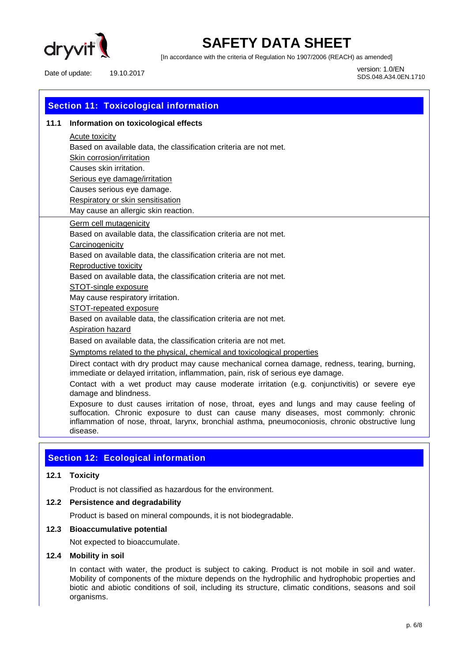

[In accordance with the criteria of Regulation No 1907/2006 (REACH) as amended]

Date of update: 19.10.2017 1.0/EN

SDS.048.A34.0EN.1710

| <b>Section 11: Toxicological information</b> |                                                                                                                                                                                    |  |  |  |
|----------------------------------------------|------------------------------------------------------------------------------------------------------------------------------------------------------------------------------------|--|--|--|
| 11.1                                         | Information on toxicological effects                                                                                                                                               |  |  |  |
|                                              | Acute toxicity                                                                                                                                                                     |  |  |  |
|                                              | Based on available data, the classification criteria are not met.                                                                                                                  |  |  |  |
|                                              | Skin corrosion/irritation                                                                                                                                                          |  |  |  |
|                                              | Causes skin irritation.                                                                                                                                                            |  |  |  |
|                                              | Serious eye damage/irritation                                                                                                                                                      |  |  |  |
|                                              | Causes serious eye damage.                                                                                                                                                         |  |  |  |
|                                              | Respiratory or skin sensitisation                                                                                                                                                  |  |  |  |
|                                              | May cause an allergic skin reaction.                                                                                                                                               |  |  |  |
|                                              | <b>Germ cell mutagenicity</b>                                                                                                                                                      |  |  |  |
|                                              | Based on available data, the classification criteria are not met.                                                                                                                  |  |  |  |
|                                              | Carcinogenicity                                                                                                                                                                    |  |  |  |
|                                              | Based on available data, the classification criteria are not met.                                                                                                                  |  |  |  |
|                                              | Reproductive toxicity                                                                                                                                                              |  |  |  |
|                                              | Based on available data, the classification criteria are not met.                                                                                                                  |  |  |  |
|                                              | STOT-single exposure                                                                                                                                                               |  |  |  |
|                                              | May cause respiratory irritation.                                                                                                                                                  |  |  |  |
|                                              | STOT-repeated exposure                                                                                                                                                             |  |  |  |
|                                              | Based on available data, the classification criteria are not met.                                                                                                                  |  |  |  |
|                                              | Aspiration hazard                                                                                                                                                                  |  |  |  |
|                                              | Based on available data, the classification criteria are not met.                                                                                                                  |  |  |  |
|                                              | Symptoms related to the physical, chemical and toxicological properties                                                                                                            |  |  |  |
|                                              | Direct contact with dry product may cause mechanical cornea damage, redness, tearing, burning,<br>immediate or delayed irritation, inflammation, pain, risk of serious eye damage. |  |  |  |
|                                              | Contact with a wet product may cause moderate irritation (e.g. conjunctivitie) or severe ever                                                                                      |  |  |  |

Contact with a wet product may cause moderate irritation (e.g. conjunctivitis) or severe eye damage and blindness.

Exposure to dust causes irritation of nose, throat, eyes and lungs and may cause feeling of suffocation. Chronic exposure to dust can cause many diseases, most commonly: chronic inflammation of nose, throat, larynx, bronchial asthma, pneumoconiosis, chronic obstructive lung disease.

## **Section 12: Ecological information**

#### **12.1 Toxicity**

Product is not classified as hazardous for the environment.

### **12.2 Persistence and degradability**

Product is based on mineral compounds, it is not biodegradable.

#### **12.3 Bioaccumulative potential**

Not expected to bioaccumulate.

#### **12.4 Mobility in soil**

In contact with water, the product is subject to caking. Product is not mobile in soil and water. Mobility of components of the mixture depends on the hydrophilic and hydrophobic properties and biotic and abiotic conditions of soil, including its structure, climatic conditions, seasons and soil organisms.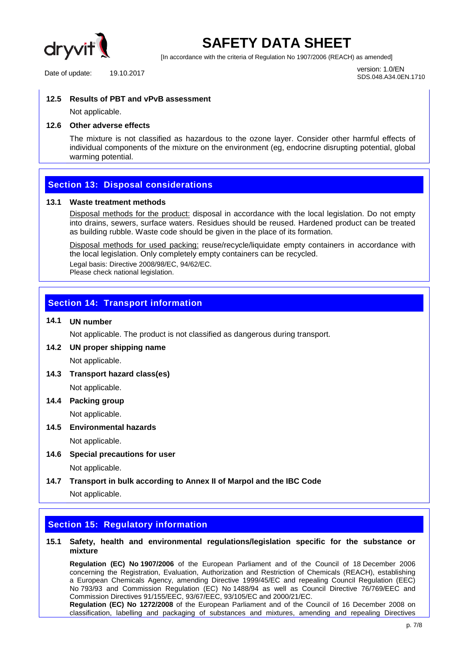

[In accordance with the criteria of Regulation No 1907/2006 (REACH) as amended]

Date of update: 19.10.2017 1.0/EN

SDS.048.A34.0EN.1710

#### **12.5 Results of PBT and vPvB assessment**

Not applicable.

#### **12.6 Other adverse effects**

The mixture is not classified as hazardous to the ozone layer. Consider other harmful effects of individual components of the mixture on the environment (eg, endocrine disrupting potential, global warming potential.

## **Section 13: Disposal considerations**

#### **13.1 Waste treatment methods**

Disposal methods for the product: disposal in accordance with the local legislation. Do not empty into drains, sewers, surface waters. Residues should be reused. Hardened product can be treated as building rubble. Waste code should be given in the place of its formation.

Disposal methods for used packing: reuse/recycle/liquidate empty containers in accordance with the local legislation. Only completely empty containers can be recycled. Legal basis: Directive 2008/98/EC, 94/62/EC. Please check national legislation.

## **Section 14: Transport information**

## **14.1 UN number**

Not applicable. The product is not classified as dangerous during transport.

## **14.2 UN proper shipping name**

Not applicable.

**14.3 Transport hazard class(es)** 

Not applicable.

**14.4 Packing group** 

Not applicable.

**14.5 Environmental hazards** 

Not applicable.

- **14.6 Special precautions for user**  Not applicable.
- **14.7 Transport in bulk according to Annex II of Marpol and the IBC Code**  Not applicable.

## **Section 15: Regulatory information**

#### **15.1 Safety, health and environmental regulations/legislation specific for the substance or mixture**

**Regulation (EC) No 1907/2006** of the European Parliament and of the Council of 18 December 2006 concerning the Registration, Evaluation, Authorization and Restriction of Chemicals (REACH), establishing a European Chemicals Agency, amending Directive 1999/45/EC and repealing Council Regulation (EEC) No 793/93 and Commission Regulation (EC) No 1488/94 as well as Council Directive 76/769/EEC and Commission Directives 91/155/EEC, 93/67/EEC, 93/105/EC and 2000/21/EC.

**Regulation (EC) No 1272/2008** of the European Parliament and of the Council of 16 December 2008 on classification, labelling and packaging of substances and mixtures, amending and repealing Directives